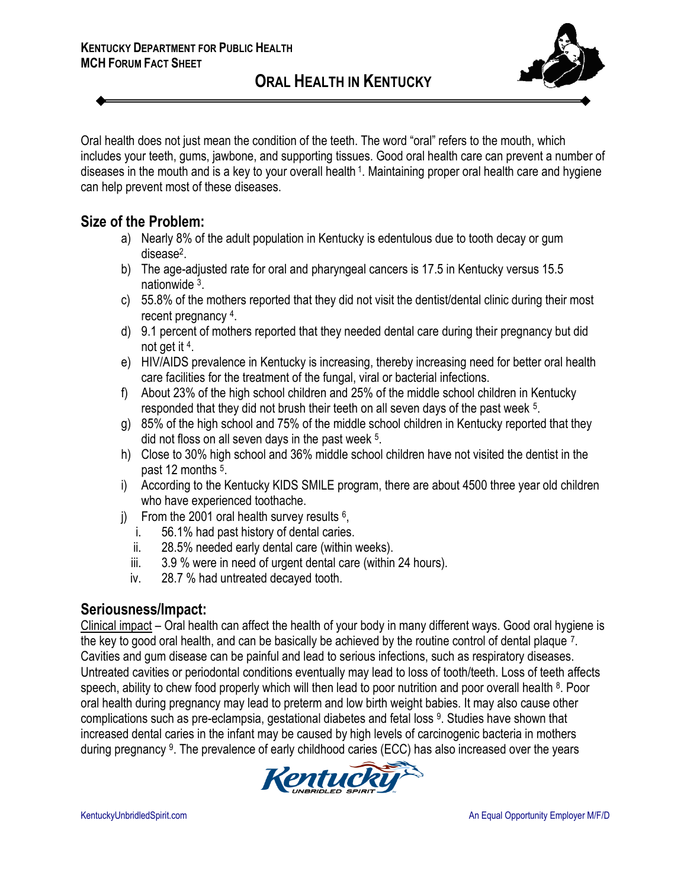

Oral health does not just mean the condition of the teeth. The word "oral" refers to the mouth, which includes your teeth, gums, jawbone, and supporting tissues. Good oral health care can prevent a number of diseases in the mouth and is a key to your overall health <sup>1</sup>. Maintaining proper oral health care and hygiene can help prevent most of these diseases.

#### **Size of the Problem:**

- a) Nearly 8% of the adult population in Kentucky is edentulous due to tooth decay or gum disease<sup>2</sup>.
- b) The age-adjusted rate for oral and pharyngeal cancers is 17.5 in Kentucky versus 15.5 nationwide <sup>3</sup>.
- c) 55.8% of the mothers reported that they did not visit the dentist/dental clinic during their most recent pregnancy 4.
- d) 9.1 percent of mothers reported that they needed dental care during their pregnancy but did not get it 4.
- e) HIV/AIDS prevalence in Kentucky is increasing, thereby increasing need for better oral health care facilities for the treatment of the fungal, viral or bacterial infections.
- f) About 23% of the high school children and 25% of the middle school children in Kentucky responded that they did not brush their teeth on all seven days of the past week <sup>5</sup>.
- g) 85% of the high school and 75% of the middle school children in Kentucky reported that they did not floss on all seven days in the past week <sup>5</sup>.
- h) Close to 30% high school and 36% middle school children have not visited the dentist in the past 12 months <sup>5</sup>.
- i) According to the Kentucky KIDS SMILE program, there are about 4500 three year old children who have experienced toothache.
- j) From the 2001 oral health survey results  $6$ ,
	- i. 56.1% had past history of dental caries.
	- ii. 28.5% needed early dental care (within weeks).
	- iii. 3.9 % were in need of urgent dental care (within 24 hours).
	- iv. 28.7 % had untreated decayed tooth.

## **Seriousness/Impact:**

Clinical impact – Oral health can affect the health of your body in many different ways. Good oral hygiene is the key to good oral health, and can be basically be achieved by the routine control of dental plaque 7. Cavities and gum disease can be painful and lead to serious infections, such as respiratory diseases. Untreated cavities or periodontal conditions eventually may lead to loss of tooth/teeth. Loss of teeth affects speech, ability to chew food properly which will then lead to poor nutrition and poor overall health <sup>8</sup>. Poor oral health during pregnancy may lead to preterm and low birth weight babies. It may also cause other complications such as pre-eclampsia, gestational diabetes and fetal loss <sup>9</sup>. Studies have shown that increased dental caries in the infant may be caused by high levels of carcinogenic bacteria in mothers during pregnancy <sup>9</sup>. The prevalence of early childhood caries (ECC) has also increased over the years

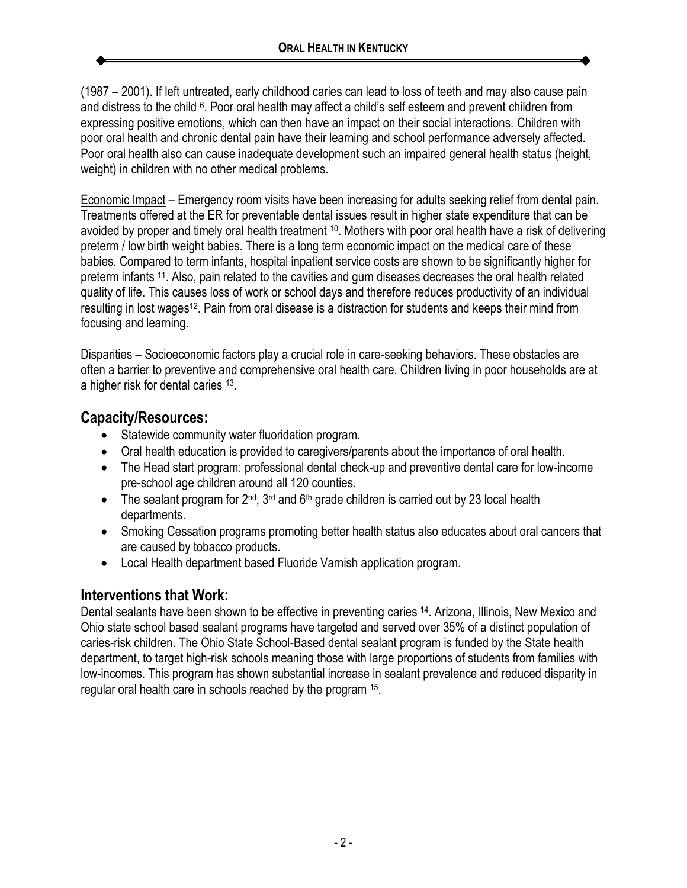(1987 – 2001). If left untreated, early childhood caries can lead to loss of teeth and may also cause pain and distress to the child <sup>6</sup>. Poor oral health may affect a child's self esteem and prevent children from expressing positive emotions, which can then have an impact on their social interactions. Children with poor oral health and chronic dental pain have their learning and school performance adversely affected. Poor oral health also can cause inadequate development such an impaired general health status (height, weight) in children with no other medical problems.

Economic Impact – Emergency room visits have been increasing for adults seeking relief from dental pain. Treatments offered at the ER for preventable dental issues result in higher state expenditure that can be avoided by proper and timely oral health treatment 10. Mothers with poor oral health have a risk of delivering preterm / low birth weight babies. There is a long term economic impact on the medical care of these babies. Compared to term infants, hospital inpatient service costs are shown to be significantly higher for preterm infants 11. Also, pain related to the cavities and gum diseases decreases the oral health related quality of life. This causes loss of work or school days and therefore reduces productivity of an individual resulting in lost wages<sup>12</sup>. Pain from oral disease is a distraction for students and keeps their mind from focusing and learning.

Disparities – Socioeconomic factors play a crucial role in care-seeking behaviors. These obstacles are often a barrier to preventive and comprehensive oral health care. Children living in poor households are at a higher risk for dental caries <sup>13</sup>.

# **Capacity/Resources:**

- Statewide community water fluoridation program.
- Oral health education is provided to caregivers/parents about the importance of oral health.
- The Head start program: professional dental check-up and preventive dental care for low-income pre-school age children around all 120 counties.
- The sealant program for  $2^{nd}$ ,  $3^{rd}$  and  $6^{th}$  grade children is carried out by 23 local health departments.
- Smoking Cessation programs promoting better health status also educates about oral cancers that are caused by tobacco products.
- Local Health department based Fluoride Varnish application program.

## **Interventions that Work:**

Dental sealants have been shown to be effective in preventing caries 14. Arizona, Illinois, New Mexico and Ohio state school based sealant programs have targeted and served over 35% of a distinct population of caries-risk children. The Ohio State School-Based dental sealant program is funded by the State health department, to target high-risk schools meaning those with large proportions of students from families with low-incomes. This program has shown substantial increase in sealant prevalence and reduced disparity in regular oral health care in schools reached by the program <sup>15</sup>.